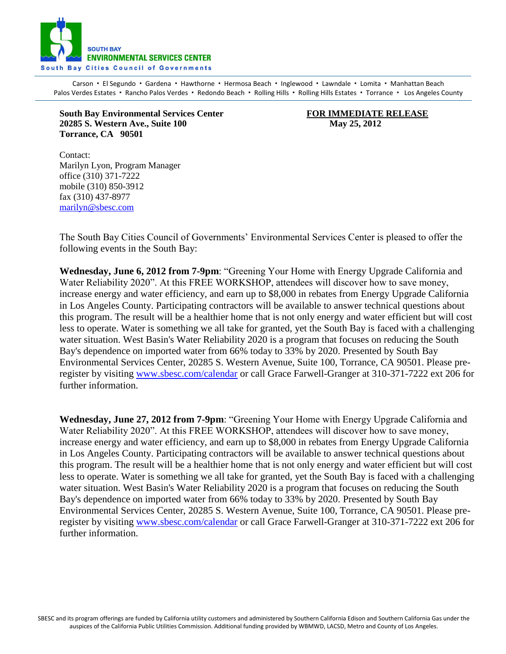

Carson · El Segundo · Gardena · Hawthorne · Hermosa Beach · Inglewood · Lawndale · Lomita · Manhattan Beach Palos Verdes Estates · Rancho Palos Verdes · Redondo Beach · Rolling Hills · Rolling Hills Estates · Torrance · Los Angeles County

**South Bay Environmental Services Center FOR IMMEDIATE RELEASE 20285 S. Western Ave., Suite 100 May 25, 2012 Torrance, CA 90501**

Contact: Marilyn Lyon, Program Manager office (310) 371-7222 mobile (310) 850-3912 fax (310) 437-8977 [marilyn@sbesc.com](mailto:marilyn@sbesc.com)

The South Bay Cities Council of Governments' Environmental Services Center is pleased to offer the following events in the South Bay:

**Wednesday, June 6, 2012 from 7-9pm**: "Greening Your Home with Energy Upgrade California and Water Reliability 2020". At this FREE WORKSHOP, attendees will discover how to save money, increase energy and water efficiency, and earn up to \$8,000 in rebates from Energy Upgrade California in Los Angeles County. Participating contractors will be available to answer technical questions about this program. The result will be a healthier home that is not only energy and water efficient but will cost less to operate. Water is something we all take for granted, yet the South Bay is faced with a challenging water situation. West Basin's Water Reliability 2020 is a program that focuses on reducing the South Bay's dependence on imported water from 66% today to 33% by 2020. Presented by South Bay Environmental Services Center, 20285 S. Western Avenue, Suite 100, Torrance, CA 90501. Please preregister by visiting [www.sbesc.com/calendar](http://www.sbesc.com/calendar) or call Grace Farwell-Granger at 310-371-7222 ext 206 for further information.

**Wednesday, June 27, 2012 from 7-9pm**: "Greening Your Home with Energy Upgrade California and Water Reliability 2020". At this FREE WORKSHOP, attendees will discover how to save money, increase energy and water efficiency, and earn up to \$8,000 in rebates from Energy Upgrade California in Los Angeles County. Participating contractors will be available to answer technical questions about this program. The result will be a healthier home that is not only energy and water efficient but will cost less to operate. Water is something we all take for granted, yet the South Bay is faced with a challenging water situation. West Basin's Water Reliability 2020 is a program that focuses on reducing the South Bay's dependence on imported water from 66% today to 33% by 2020. Presented by South Bay Environmental Services Center, 20285 S. Western Avenue, Suite 100, Torrance, CA 90501. Please preregister by visiting [www.sbesc.com/calendar](http://www.sbesc.com/calendar) or call Grace Farwell-Granger at 310-371-7222 ext 206 for further information.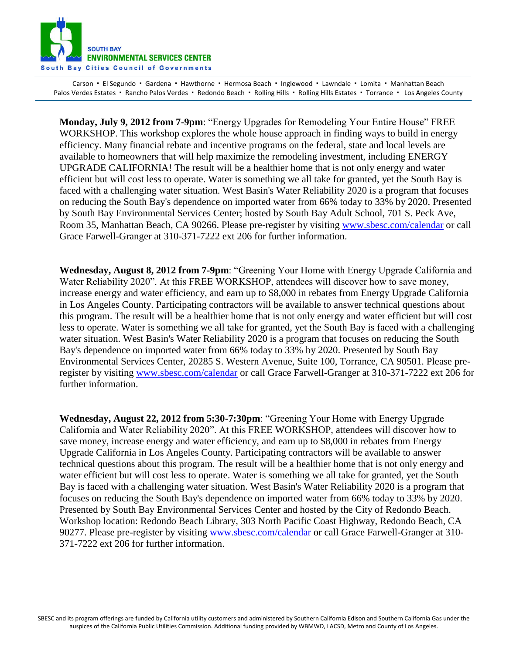

Carson · El Segundo · Gardena · Hawthorne · Hermosa Beach · Inglewood · Lawndale · Lomita · Manhattan Beach Palos Verdes Estates · Rancho Palos Verdes · Redondo Beach · Rolling Hills · Rolling Hills Estates · Torrance · Los Angeles County

**Monday, July 9, 2012 from 7-9pm**: "Energy Upgrades for Remodeling Your Entire House" FREE WORKSHOP. This workshop explores the whole house approach in finding ways to build in energy efficiency. Many financial rebate and incentive programs on the federal, state and local levels are available to homeowners that will help maximize the remodeling investment, including ENERGY UPGRADE CALIFORNIA! The result will be a healthier home that is not only energy and water efficient but will cost less to operate. Water is something we all take for granted, yet the South Bay is faced with a challenging water situation. West Basin's Water Reliability 2020 is a program that focuses on reducing the South Bay's dependence on imported water from 66% today to 33% by 2020. Presented by South Bay Environmental Services Center; hosted by South Bay Adult School, 701 S. Peck Ave, Room 35, Manhattan Beach, CA 90266. Please pre-register by visiting [www.sbesc.com/calendar](http://www.sbesc.com/calendar) or call Grace Farwell-Granger at 310-371-7222 ext 206 for further information.

**Wednesday, August 8, 2012 from 7-9pm**: "Greening Your Home with Energy Upgrade California and Water Reliability 2020". At this FREE WORKSHOP, attendees will discover how to save money, increase energy and water efficiency, and earn up to \$8,000 in rebates from Energy Upgrade California in Los Angeles County. Participating contractors will be available to answer technical questions about this program. The result will be a healthier home that is not only energy and water efficient but will cost less to operate. Water is something we all take for granted, yet the South Bay is faced with a challenging water situation. West Basin's Water Reliability 2020 is a program that focuses on reducing the South Bay's dependence on imported water from 66% today to 33% by 2020. Presented by South Bay Environmental Services Center, 20285 S. Western Avenue, Suite 100, Torrance, CA 90501. Please preregister by visiting [www.sbesc.com/calendar](http://www.sbesc.com/calendar) or call Grace Farwell-Granger at 310-371-7222 ext 206 for further information.

**Wednesday, August 22, 2012 from 5:30-7:30pm**: "Greening Your Home with Energy Upgrade California and Water Reliability 2020". At this FREE WORKSHOP, attendees will discover how to save money, increase energy and water efficiency, and earn up to \$8,000 in rebates from Energy Upgrade California in Los Angeles County. Participating contractors will be available to answer technical questions about this program. The result will be a healthier home that is not only energy and water efficient but will cost less to operate. Water is something we all take for granted, yet the South Bay is faced with a challenging water situation. West Basin's Water Reliability 2020 is a program that focuses on reducing the South Bay's dependence on imported water from 66% today to 33% by 2020. Presented by South Bay Environmental Services Center and hosted by the City of Redondo Beach. Workshop location: Redondo Beach Library, 303 North Pacific Coast Highway, Redondo Beach, CA 90277. Please pre-register by visiting [www.sbesc.com/calendar](http://www.sbesc.com/calendar) or call Grace Farwell-Granger at 310- 371-7222 ext 206 for further information.